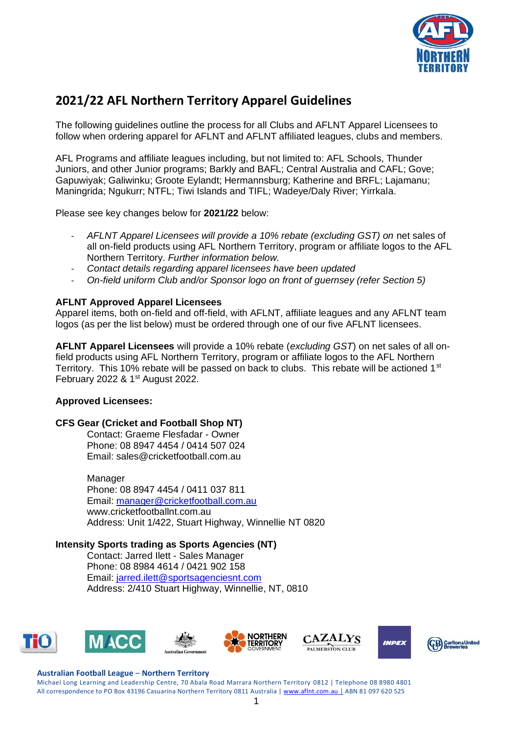

# **2021/22 AFL Northern Territory Apparel Guidelines**

The following guidelines outline the process for all Clubs and AFLNT Apparel Licensees to follow when ordering apparel for AFLNT and AFLNT affiliated leagues, clubs and members.

AFL Programs and affiliate leagues including, but not limited to: AFL Schools, Thunder Juniors, and other Junior programs; Barkly and BAFL; Central Australia and CAFL; Gove; Gapuwiyak; Galiwinku; Groote Eylandt; Hermannsburg; Katherine and BRFL; Lajamanu; Maningrida; Ngukurr; NTFL; Tiwi Islands and TIFL; Wadeye/Daly River; Yirrkala.

Please see key changes below for **2021/22** below:

- *AFLNT Apparel Licensees will provide a 10% rebate (excluding GST) on net sales of* all on-field products using AFL Northern Territory, program or affiliate logos to the AFL Northern Territory. *Further information below.*
- *Contact details regarding apparel licensees have been updated*
- *On-field uniform Club and/or Sponsor logo on front of guernsey (refer Section 5)*

## **AFLNT Approved Apparel Licensees**

Apparel items, both on-field and off-field, with AFLNT, affiliate leagues and any AFLNT team logos (as per the list below) must be ordered through one of our five AFLNT licensees.

**AFLNT Apparel Licensees** will provide a 10% rebate (*excluding GST*) on net sales of all onfield products using AFL Northern Territory, program or affiliate logos to the AFL Northern Territory. This 10% rebate will be passed on back to clubs. This rebate will be actioned 1<sup>st</sup> February 2022 & 1<sup>st</sup> August 2022.

## **Approved Licensees:**

## **CFS Gear (Cricket and Football Shop NT)**

Contact: Graeme Flesfadar - Owner Phone: 08 8947 4454 / 0414 507 024 Email: sales@cricketfootball.com.au

Manager Phone: 08 8947 4454 / 0411 037 811 Email: [manager@cricketfootball.com.au](mailto:manager@cricketfootball.com.au) www.cricketfootballnt.com.au Address: Unit 1/422, Stuart Highway, Winnellie NT 0820

## **Intensity Sports trading as Sports Agencies (NT)**

Contact: Jarred Ilett - Sales Manager Phone: 08 8984 4614 / 0421 902 158 Email: [jarred.ilett@sportsagenciesnt.com](mailto:jarred.ilett@sportsagenciesnt.com) Address: 2/410 Stuart Highway, Winnellie, NT, 0810











#### **Australian Football League** – **Northern Territory**

Michael Long Learning and Leadership Centre, 70 Abala Road Marrara Northern Territory 0812 | Telephone 08 8980 4801 All correspondence to PO Box 43196 Casuarina Northern Territory 0811 Australia | [www.aflnt.com.au](http://www.aflnt.com.au/) | ABN 81 097 620 525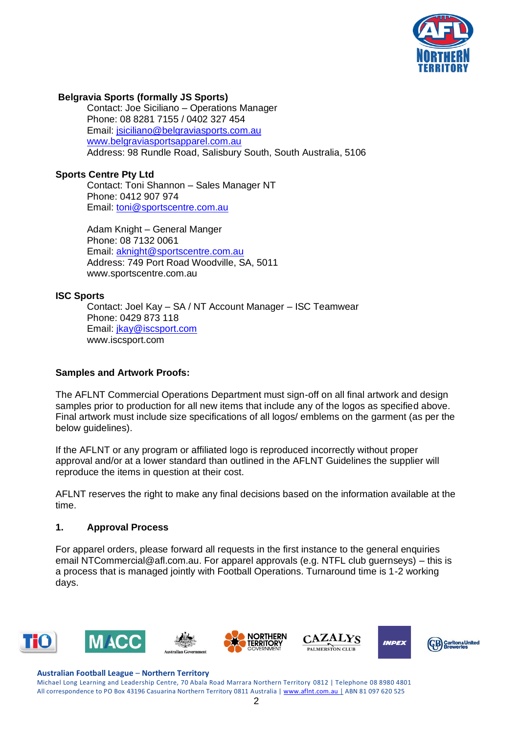

## **Belgravia Sports (formally JS Sports)**

Contact: Joe Siciliano – Operations Manager Phone: 08 8281 7155 / 0402 327 454 Email: [jsiciliano@belgraviasports.com.au](mailto:jsiciliano@belgraviasports.com.au) [www.belgraviasportsapparel.com.au](http://www.belgraviasportsapparel.com.au/) Address: 98 Rundle Road, Salisbury South, South Australia, 5106

### **Sports Centre Pty Ltd**

Contact: Toni Shannon – Sales Manager NT Phone: 0412 907 974 Email: [toni@sportscentre.com.au](mailto:toni@sportscentre.com.au)

Adam Knight – General Manger Phone: 08 7132 0061 Email: [aknight@sportscentre.com.au](mailto:aknight@sportscentre.com.au) Address: 749 Port Road Woodville, SA, 5011 www.sportscentre.com.au

#### **ISC Sports**

Contact: Joel Kay – SA / NT Account Manager – ISC Teamwear Phone: 0429 873 118 Email: [jkay@iscsport.com](mailto:jkay@iscsport.com) www.iscsport.com

#### **Samples and Artwork Proofs:**

The AFLNT Commercial Operations Department must sign-off on all final artwork and design samples prior to production for all new items that include any of the logos as specified above. Final artwork must include size specifications of all logos/ emblems on the garment (as per the below guidelines).

If the AFLNT or any program or affiliated logo is reproduced incorrectly without proper approval and/or at a lower standard than outlined in the AFLNT Guidelines the supplier will reproduce the items in question at their cost.

AFLNT reserves the right to make any final decisions based on the information available at the time.

#### **1. Approval Process**

For apparel orders, please forward all requests in the first instance to the general enquiries email NTCommercial@afl.com.au. For apparel approvals (e.g. NTFL club guernseys) – this is a process that is managed jointly with Football Operations. Turnaround time is 1-2 working days.



#### **Australian Football League** – **Northern Territory**

Michael Long Learning and Leadership Centre, 70 Abala Road Marrara Northern Territory 0812 | Telephone 08 8980 4801 All correspondence to PO Box 43196 Casuarina Northern Territory 0811 Australia | [www.aflnt.com.au](http://www.aflnt.com.au/) | ABN 81 097 620 525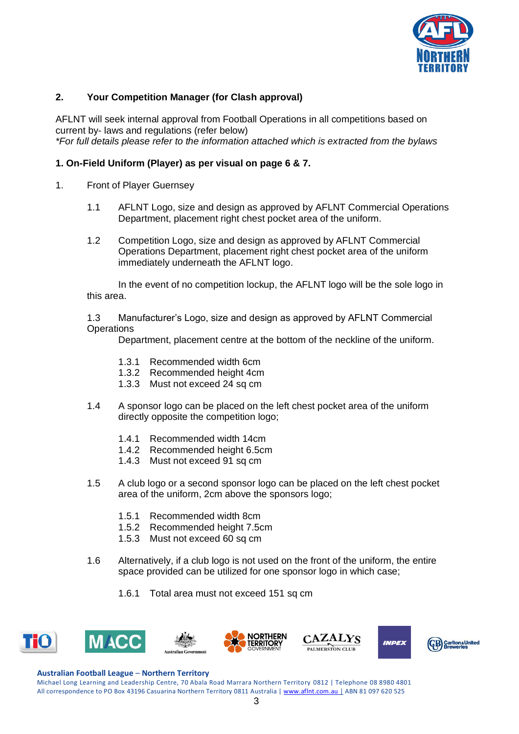

## **2. Your Competition Manager (for Clash approval)**

AFLNT will seek internal approval from Football Operations in all competitions based on current by- laws and regulations (refer below) *\*For full details please refer to the information attached which is extracted from the bylaws*

## **1. On-Field Uniform (Player) as per visual on page 6 & 7.**

- 1. Front of Player Guernsey
	- 1.1 AFLNT Logo, size and design as approved by AFLNT Commercial Operations Department, placement right chest pocket area of the uniform.
	- 1.2 Competition Logo, size and design as approved by AFLNT Commercial Operations Department, placement right chest pocket area of the uniform immediately underneath the AFLNT logo.

In the event of no competition lockup, the AFLNT logo will be the sole logo in this area.

1.3 Manufacturer's Logo, size and design as approved by AFLNT Commercial **Operations** 

Department, placement centre at the bottom of the neckline of the uniform.

- 1.3.1 Recommended width 6cm
- 1.3.2 Recommended height 4cm
- 1.3.3 Must not exceed 24 sq cm
- 1.4 A sponsor logo can be placed on the left chest pocket area of the uniform directly opposite the competition logo;
	- 1.4.1 Recommended width 14cm
	- 1.4.2 Recommended height 6.5cm
	- 1.4.3 Must not exceed 91 sq cm
- 1.5 A club logo or a second sponsor logo can be placed on the left chest pocket area of the uniform, 2cm above the sponsors logo:
	- 1.5.1 Recommended width 8cm
	- 1.5.2 Recommended height 7.5cm
	- 1.5.3 Must not exceed 60 sq cm
- 1.6 Alternatively, if a club logo is not used on the front of the uniform, the entire space provided can be utilized for one sponsor logo in which case;
	- 1.6.1 Total area must not exceed 151 sq cm



#### **Australian Football League** – **Northern Territory**

Michael Long Learning and Leadership Centre, 70 Abala Road Marrara Northern Territory 0812 | Telephone 08 8980 4801 All correspondence to PO Box 43196 Casuarina Northern Territory 0811 Australia | [www.aflnt.com.au](http://www.aflnt.com.au/) | ABN 81 097 620 525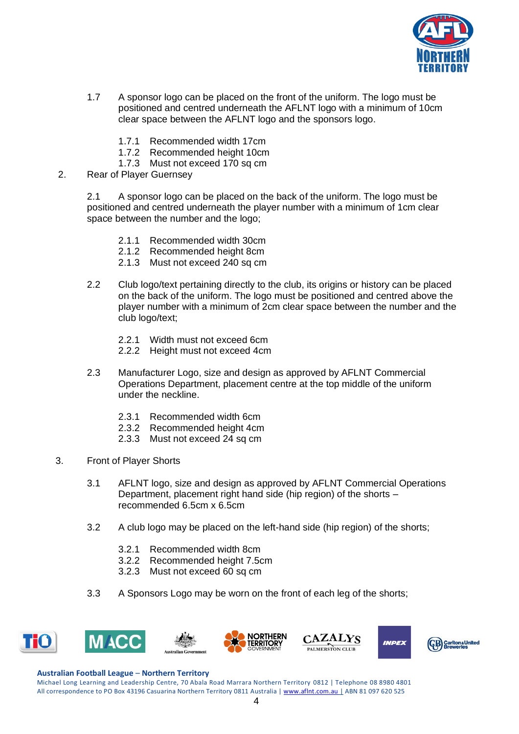

- 1.7 A sponsor logo can be placed on the front of the uniform. The logo must be positioned and centred underneath the AFLNT logo with a minimum of 10cm clear space between the AFLNT logo and the sponsors logo.
	- 1.7.1 Recommended width 17cm
	- 1.7.2 Recommended height 10cm
	- 1.7.3 Must not exceed 170 sq cm
- 2. Rear of Player Guernsey

2.1 A sponsor logo can be placed on the back of the uniform. The logo must be positioned and centred underneath the player number with a minimum of 1cm clear space between the number and the logo;

- 2.1.1 Recommended width 30cm
- 2.1.2 Recommended height 8cm
- 2.1.3 Must not exceed 240 sq cm
- 2.2 Club logo/text pertaining directly to the club, its origins or history can be placed on the back of the uniform. The logo must be positioned and centred above the player number with a minimum of 2cm clear space between the number and the club logo/text;
	- 2.2.1 Width must not exceed 6cm
	- 2.2.2 Height must not exceed 4cm
- 2.3 Manufacturer Logo, size and design as approved by AFLNT Commercial Operations Department, placement centre at the top middle of the uniform under the neckline.
	- 2.3.1 Recommended width 6cm
	- 2.3.2 Recommended height 4cm
	- 2.3.3 Must not exceed 24 sq cm
- 3. Front of Player Shorts
	- 3.1 AFLNT logo, size and design as approved by AFLNT Commercial Operations Department, placement right hand side (hip region) of the shorts – recommended 6.5cm x 6.5cm
	- 3.2 A club logo may be placed on the left-hand side (hip region) of the shorts;
		- 3.2.1 Recommended width 8cm
		- 3.2.2 Recommended height 7.5cm
		- 3.2.3 Must not exceed 60 sq cm
	- 3.3 A Sponsors Logo may be worn on the front of each leg of the shorts;



#### **Australian Football League** – **Northern Territory**

Michael Long Learning and Leadership Centre, 70 Abala Road Marrara Northern Territory 0812 | Telephone 08 8980 4801 All correspondence to PO Box 43196 Casuarina Northern Territory 0811 Australia | [www.aflnt.com.au](http://www.aflnt.com.au/) | ABN 81 097 620 525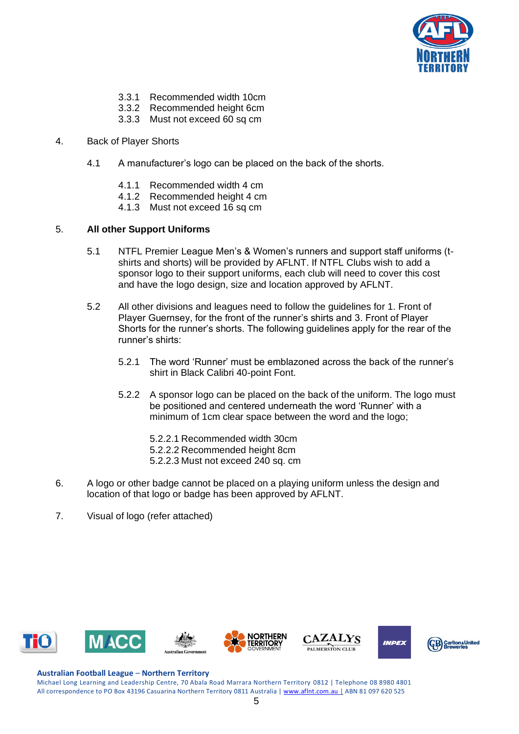

- 3.3.1 Recommended width 10cm
- 3.3.2 Recommended height 6cm
- 3.3.3 Must not exceed 60 sq cm
- 4. Back of Player Shorts
	- 4.1 A manufacturer's logo can be placed on the back of the shorts.
		- 4.1.1 Recommended width 4 cm
		- 4.1.2 Recommended height 4 cm
		- 4.1.3 Must not exceed 16 sq cm

## 5. **All other Support Uniforms**

- 5.1 NTFL Premier League Men's & Women's runners and support staff uniforms (tshirts and shorts) will be provided by AFLNT. If NTFL Clubs wish to add a sponsor logo to their support uniforms, each club will need to cover this cost and have the logo design, size and location approved by AFLNT.
- 5.2 All other divisions and leagues need to follow the guidelines for 1. Front of Player Guernsey, for the front of the runner's shirts and 3. Front of Player Shorts for the runner's shorts. The following guidelines apply for the rear of the runner's shirts:
	- 5.2.1 The word 'Runner' must be emblazoned across the back of the runner's shirt in Black Calibri 40-point Font.
	- 5.2.2 A sponsor logo can be placed on the back of the uniform. The logo must be positioned and centered underneath the word 'Runner' with a minimum of 1cm clear space between the word and the logo;
		- 5.2.2.1 Recommended width 30cm
		- 5.2.2.2 Recommended height 8cm
		- 5.2.2.3 Must not exceed 240 sq. cm
- 6. A logo or other badge cannot be placed on a playing uniform unless the design and location of that logo or badge has been approved by AFLNT.
- 7. Visual of logo (refer attached)





#### **Australian Football League** – **Northern Territory**

Michael Long Learning and Leadership Centre, 70 Abala Road Marrara Northern Territory 0812 | Telephone 08 8980 4801 All correspondence to PO Box 43196 Casuarina Northern Territory 0811 Australia | [www.aflnt.com.au](http://www.aflnt.com.au/) | ABN 81 097 620 525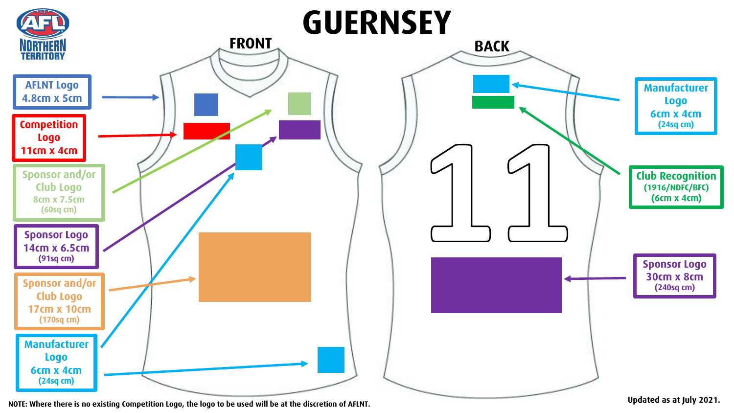